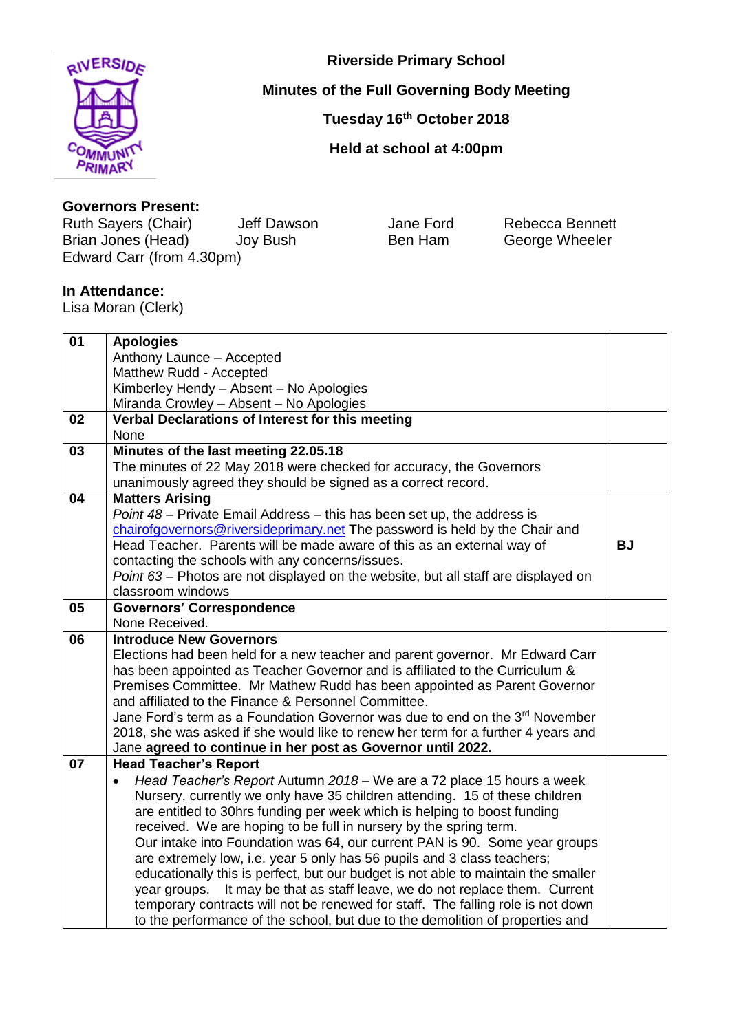

**Riverside Primary School**

## **Minutes of the Full Governing Body Meeting**

**Tuesday 16th October 2018**

**Held at school at 4:00pm**

## **Governors Present:**

Ruth Sayers (Chair) deff Dawson Jane Ford Rebecca Bennett<br>
Brian Jones (Head) Joy Bush Ben Ham George Wheeler Brian Jones (Head) Joy Bush Ben Ham George Wheeler Edward Carr (from 4.30pm)

## **In Attendance:**

Lisa Moran (Clerk)

| 01 | <b>Apologies</b>                                                                   |           |
|----|------------------------------------------------------------------------------------|-----------|
|    | Anthony Launce - Accepted                                                          |           |
|    | Matthew Rudd - Accepted                                                            |           |
|    | Kimberley Hendy - Absent - No Apologies                                            |           |
|    | Miranda Crowley - Absent - No Apologies                                            |           |
| 02 | Verbal Declarations of Interest for this meeting                                   |           |
|    | None                                                                               |           |
| 03 | Minutes of the last meeting 22.05.18                                               |           |
|    | The minutes of 22 May 2018 were checked for accuracy, the Governors                |           |
|    | unanimously agreed they should be signed as a correct record.                      |           |
| 04 | <b>Matters Arising</b>                                                             |           |
|    | Point 48 - Private Email Address - this has been set up, the address is            |           |
|    | chairofgovernors@riversideprimary.net The password is held by the Chair and        |           |
|    | Head Teacher. Parents will be made aware of this as an external way of             | <b>BJ</b> |
|    | contacting the schools with any concerns/issues.                                   |           |
|    | Point 63 - Photos are not displayed on the website, but all staff are displayed on |           |
|    | classroom windows                                                                  |           |
| 05 | <b>Governors' Correspondence</b>                                                   |           |
|    | None Received.                                                                     |           |
| 06 | <b>Introduce New Governors</b>                                                     |           |
|    | Elections had been held for a new teacher and parent governor. Mr Edward Carr      |           |
|    | has been appointed as Teacher Governor and is affiliated to the Curriculum &       |           |
|    | Premises Committee. Mr Mathew Rudd has been appointed as Parent Governor           |           |
|    | and affiliated to the Finance & Personnel Committee.                               |           |
|    | Jane Ford's term as a Foundation Governor was due to end on the 3rd November       |           |
|    | 2018, she was asked if she would like to renew her term for a further 4 years and  |           |
|    | Jane agreed to continue in her post as Governor until 2022.                        |           |
| 07 | <b>Head Teacher's Report</b>                                                       |           |
|    | Head Teacher's Report Autumn 2018 - We are a 72 place 15 hours a week<br>$\bullet$ |           |
|    | Nursery, currently we only have 35 children attending. 15 of these children        |           |
|    | are entitled to 30hrs funding per week which is helping to boost funding           |           |
|    | received. We are hoping to be full in nursery by the spring term.                  |           |
|    | Our intake into Foundation was 64, our current PAN is 90. Some year groups         |           |
|    | are extremely low, i.e. year 5 only has 56 pupils and 3 class teachers;            |           |
|    | educationally this is perfect, but our budget is not able to maintain the smaller  |           |
|    | It may be that as staff leave, we do not replace them. Current<br>year groups.     |           |
|    | temporary contracts will not be renewed for staff. The falling role is not down    |           |
|    | to the performance of the school, but due to the demolition of properties and      |           |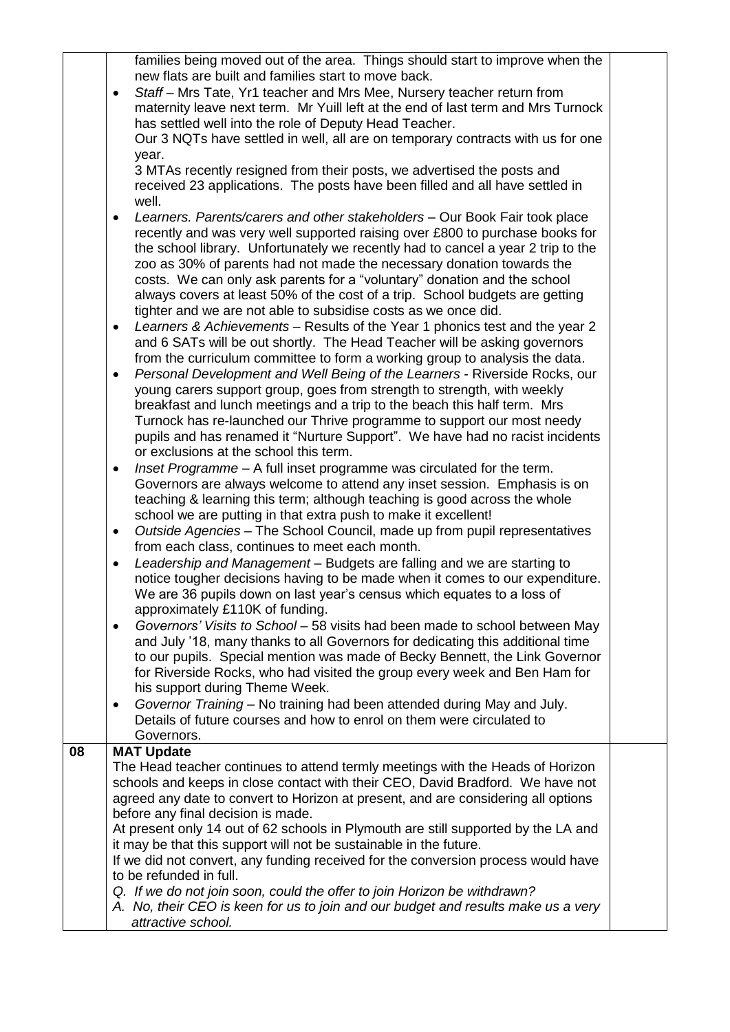|    | families being moved out of the area. Things should start to improve when the<br>new flats are built and families start to move back.<br>Staff - Mrs Tate, Yr1 teacher and Mrs Mee, Nursery teacher return from<br>٠<br>maternity leave next term. Mr Yuill left at the end of last term and Mrs Turnock<br>has settled well into the role of Deputy Head Teacher.<br>Our 3 NQTs have settled in well, all are on temporary contracts with us for one<br>year.<br>3 MTAs recently resigned from their posts, we advertised the posts and<br>received 23 applications. The posts have been filled and all have settled in<br>well.<br>Learners. Parents/carers and other stakeholders - Our Book Fair took place<br>recently and was very well supported raising over £800 to purchase books for<br>the school library. Unfortunately we recently had to cancel a year 2 trip to the<br>zoo as 30% of parents had not made the necessary donation towards the<br>costs. We can only ask parents for a "voluntary" donation and the school<br>always covers at least 50% of the cost of a trip. School budgets are getting<br>tighter and we are not able to subsidise costs as we once did.<br>Learners & Achievements - Results of the Year 1 phonics test and the year 2<br>and 6 SATs will be out shortly. The Head Teacher will be asking governors<br>from the curriculum committee to form a working group to analysis the data.<br>Personal Development and Well Being of the Learners - Riverside Rocks, our<br>$\bullet$<br>young carers support group, goes from strength to strength, with weekly<br>breakfast and lunch meetings and a trip to the beach this half term. Mrs<br>Turnock has re-launched our Thrive programme to support our most needy<br>pupils and has renamed it "Nurture Support". We have had no racist incidents<br>or exclusions at the school this term.<br>Inset Programme - A full inset programme was circulated for the term.<br>٠<br>Governors are always welcome to attend any inset session. Emphasis is on<br>teaching & learning this term; although teaching is good across the whole<br>school we are putting in that extra push to make it excellent!<br>Outside Agencies - The School Council, made up from pupil representatives<br>٠<br>from each class, continues to meet each month.<br>Leadership and Management - Budgets are falling and we are starting to<br>٠<br>notice tougher decisions having to be made when it comes to our expenditure.<br>We are 36 pupils down on last year's census which equates to a loss of<br>approximately £110K of funding.<br>Governors' Visits to School - 58 visits had been made to school between May<br>and July '18, many thanks to all Governors for dedicating this additional time<br>to our pupils. Special mention was made of Becky Bennett, the Link Governor<br>for Riverside Rocks, who had visited the group every week and Ben Ham for<br>his support during Theme Week.<br>Governor Training - No training had been attended during May and July.<br>$\bullet$ |  |
|----|----------------------------------------------------------------------------------------------------------------------------------------------------------------------------------------------------------------------------------------------------------------------------------------------------------------------------------------------------------------------------------------------------------------------------------------------------------------------------------------------------------------------------------------------------------------------------------------------------------------------------------------------------------------------------------------------------------------------------------------------------------------------------------------------------------------------------------------------------------------------------------------------------------------------------------------------------------------------------------------------------------------------------------------------------------------------------------------------------------------------------------------------------------------------------------------------------------------------------------------------------------------------------------------------------------------------------------------------------------------------------------------------------------------------------------------------------------------------------------------------------------------------------------------------------------------------------------------------------------------------------------------------------------------------------------------------------------------------------------------------------------------------------------------------------------------------------------------------------------------------------------------------------------------------------------------------------------------------------------------------------------------------------------------------------------------------------------------------------------------------------------------------------------------------------------------------------------------------------------------------------------------------------------------------------------------------------------------------------------------------------------------------------------------------------------------------------------------------------------------------------------------------------------------------------------------------------------------------------------------------------------------------------------------------------------------------------------------------------------------------------------------------------------------------------------------------------------------------------------------------------------------------------------------------------------------------------------------------------------------------------------------------------------------------------------------------------|--|
|    | Details of future courses and how to enrol on them were circulated to                                                                                                                                                                                                                                                                                                                                                                                                                                                                                                                                                                                                                                                                                                                                                                                                                                                                                                                                                                                                                                                                                                                                                                                                                                                                                                                                                                                                                                                                                                                                                                                                                                                                                                                                                                                                                                                                                                                                                                                                                                                                                                                                                                                                                                                                                                                                                                                                                                                                                                                                                                                                                                                                                                                                                                                                                                                                                                                                                                                                      |  |
|    | Governors.                                                                                                                                                                                                                                                                                                                                                                                                                                                                                                                                                                                                                                                                                                                                                                                                                                                                                                                                                                                                                                                                                                                                                                                                                                                                                                                                                                                                                                                                                                                                                                                                                                                                                                                                                                                                                                                                                                                                                                                                                                                                                                                                                                                                                                                                                                                                                                                                                                                                                                                                                                                                                                                                                                                                                                                                                                                                                                                                                                                                                                                                 |  |
| 08 | <b>MAT Update</b>                                                                                                                                                                                                                                                                                                                                                                                                                                                                                                                                                                                                                                                                                                                                                                                                                                                                                                                                                                                                                                                                                                                                                                                                                                                                                                                                                                                                                                                                                                                                                                                                                                                                                                                                                                                                                                                                                                                                                                                                                                                                                                                                                                                                                                                                                                                                                                                                                                                                                                                                                                                                                                                                                                                                                                                                                                                                                                                                                                                                                                                          |  |
|    | The Head teacher continues to attend termly meetings with the Heads of Horizon<br>schools and keeps in close contact with their CEO, David Bradford. We have not<br>agreed any date to convert to Horizon at present, and are considering all options<br>before any final decision is made.<br>At present only 14 out of 62 schools in Plymouth are still supported by the LA and<br>it may be that this support will not be sustainable in the future.<br>If we did not convert, any funding received for the conversion process would have<br>to be refunded in full.                                                                                                                                                                                                                                                                                                                                                                                                                                                                                                                                                                                                                                                                                                                                                                                                                                                                                                                                                                                                                                                                                                                                                                                                                                                                                                                                                                                                                                                                                                                                                                                                                                                                                                                                                                                                                                                                                                                                                                                                                                                                                                                                                                                                                                                                                                                                                                                                                                                                                                    |  |
|    | Q. If we do not join soon, could the offer to join Horizon be withdrawn?<br>A. No, their CEO is keen for us to join and our budget and results make us a very<br>attractive school.                                                                                                                                                                                                                                                                                                                                                                                                                                                                                                                                                                                                                                                                                                                                                                                                                                                                                                                                                                                                                                                                                                                                                                                                                                                                                                                                                                                                                                                                                                                                                                                                                                                                                                                                                                                                                                                                                                                                                                                                                                                                                                                                                                                                                                                                                                                                                                                                                                                                                                                                                                                                                                                                                                                                                                                                                                                                                        |  |